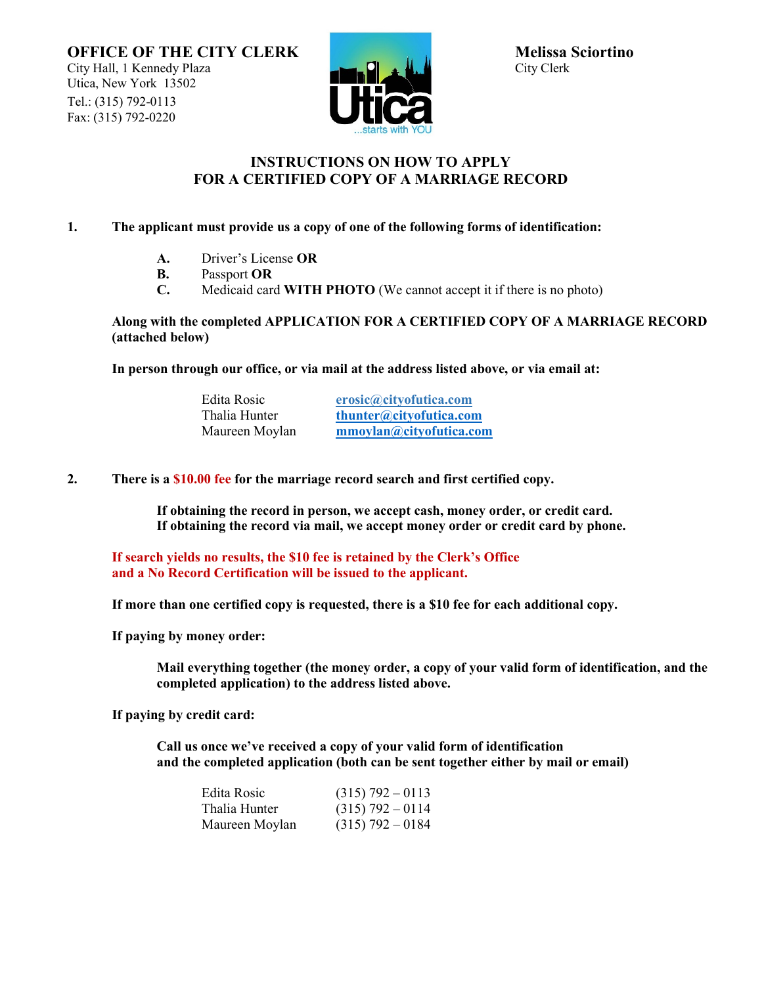

## **INSTRUCTIONS ON HOW TO APPLY FOR A CERTIFIED COPY OF A MARRIAGE RECORD**

## **1. The applicant must provide us a copy of one of the following forms of identification:**

- **A.** Driver's License **OR**
- **B.** Passport **OR**
- **C.** Medicaid card **WITH PHOTO** (We cannot accept it if there is no photo)

## **Along with the completed APPLICATION FOR A CERTIFIED COPY OF A MARRIAGE RECORD (attached below)**

**In person through our office, or via mail at the address listed above, or via email at:**

| Edita Rosic    | erosic@cityofutica.com  |
|----------------|-------------------------|
| Thalia Hunter  | thunter@cityofutica.com |
| Maureen Moylan | mmoylan@cityofutica.com |

**2. There is a \$10.00 fee for the marriage record search and first certified copy.**

**If obtaining the record in person, we accept cash, money order, or credit card. If obtaining the record via mail, we accept money order or credit card by phone.**

**If search yields no results, the \$10 fee is retained by the Clerk's Office and a No Record Certification will be issued to the applicant.**

**If more than one certified copy is requested, there is a \$10 fee for each additional copy.**

**If paying by money order:**

**Mail everything together (the money order, a copy of your valid form of identification, and the completed application) to the address listed above.**

**If paying by credit card:**

**Call us once we've received a copy of your valid form of identification and the completed application (both can be sent together either by mail or email)**

| Edita Rosic    | $(315)$ 792 – 0113 |
|----------------|--------------------|
| Thalia Hunter  | $(315)$ 792 – 0114 |
| Maureen Moylan | $(315)$ 792 – 0184 |